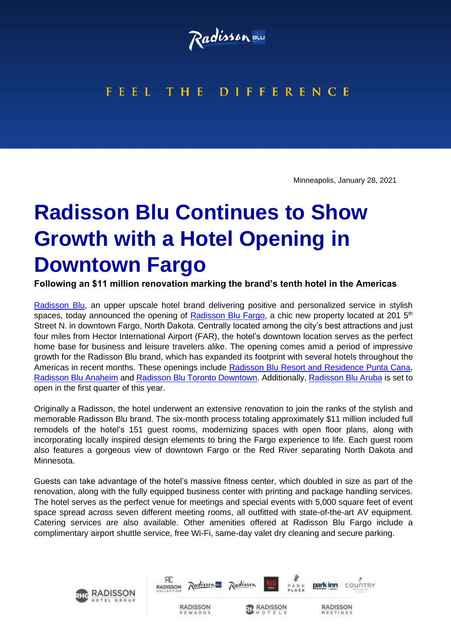

## FEEL THE DIFFERENCE

Minneapolis, January 28, 2021

## **Radisson Blu Continues to Show Growth with a Hotel Opening in Downtown Fargo**

**Following an \$11 million renovation marking the brand's tenth hotel in the Americas** 

[Radisson Blu,](https://www.radissonhotels.com/en-us/brand/radisson-blu) an upper upscale hotel brand delivering positive and personalized service in stylish spaces, today announced the opening of [Radisson Blu Fargo,](https://www.radissonhotels.com/en-us/hotels/radisson-blu-fargo) a chic new property located at 201  $5<sup>th</sup>$ Street N. in downtown Fargo, North Dakota. Centrally located among the city's best attractions and just four miles from Hector International Airport (FAR), the hotel's downtown location serves as the perfect home base for business and leisure travelers alike. The opening comes amid a period of impressive growth for the Radisson Blu brand, which has expanded its footprint with several hotels throughout the Americas in recent months. These openings include [Radisson Blu Resort and Residence Punta Cana,](https://www.radissonhotels.com/en-us/hotels/radisson-blu-resort-punta-cana?cid=a:se+b:gmb+c:amer+i:local+e:rdb+d:carib+h:DOMPCDO) [Radisson Blu Anaheim](https://www.radissonhotels.com/en-us/hotels/radisson-blu-anaheim?cid=a:se+b:gmb+c:amer+i:local+e:rdb+d:us+h:USAANAC) and [Radisson Blu Toronto Downtown.](https://www.radissonhotels.com/en-us/hotels/radisson-blu-toronto?cid=a:se+b:gmb+c:amer+i:local+e:rdb+d:ca+h:ONTORONT) Additionally, [Radisson Blu Aruba](https://www.radissonhotels.com/en-us/hotels/radisson-blu-aruba) is set to open in the first quarter of this year.

Originally a Radisson, the hotel underwent an extensive renovation to join the ranks of the stylish and memorable Radisson Blu brand. The six-month process totaling approximately \$11 million included full remodels of the hotel's 151 guest rooms, modernizing spaces with open floor plans, along with incorporating locally inspired design elements to bring the Fargo experience to life. Each guest room also features a gorgeous view of downtown Fargo or the Red River separating North Dakota and Minnesota.

Guests can take advantage of the hotel's massive fitness center, which doubled in size as part of the renovation, along with the fully equipped business center with printing and package handling services. The hotel serves as the perfect venue for meetings and special events with 5,000 square feet of event space spread across seven different meeting rooms, all outfitted with state-of-the-art AV equipment. Catering services are also available. Other amenities offered at Radisson Blu Fargo include a complimentary airport shuttle service, free Wi-Fi, same-day valet dry cleaning and secure parking.

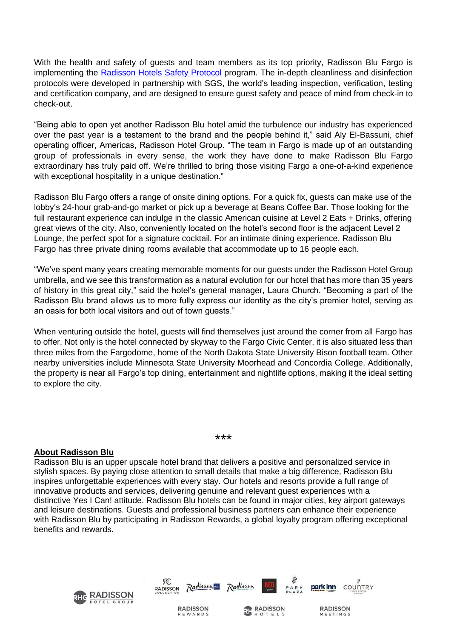With the health and safety of guests and team members as its top priority, Radisson Blu Fargo is implementing the [Radisson Hotels Safety Protocol](https://carlsonrezidor.us8.list-manage.com/track/click?u=16bb65e83745cac06daf5bc3b&id=cb2e98b66a&e=029aa89586) program. The in-depth cleanliness and disinfection protocols were developed in partnership with SGS, the world's leading inspection, verification, testing and certification company, and are designed to ensure guest safety and peace of mind from check-in to check-out.

"Being able to open yet another Radisson Blu hotel amid the turbulence our industry has experienced over the past year is a testament to the brand and the people behind it," said Aly El-Bassuni, chief operating officer, Americas, Radisson Hotel Group. "The team in Fargo is made up of an outstanding group of professionals in every sense, the work they have done to make Radisson Blu Fargo extraordinary has truly paid off. We're thrilled to bring those visiting Fargo a one-of-a-kind experience with exceptional hospitality in a unique destination."

Radisson Blu Fargo offers a range of onsite dining options. For a quick fix, guests can make use of the lobby's 24-hour grab-and-go market or pick up a beverage at Beans Coffee Bar. Those looking for the full restaurant experience can indulge in the classic American cuisine at Level 2 Eats + Drinks, offering great views of the city. Also, conveniently located on the hotel's second floor is the adjacent Level 2 Lounge, the perfect spot for a signature cocktail. For an intimate dining experience, Radisson Blu Fargo has three private dining rooms available that accommodate up to 16 people each.

"We've spent many years creating memorable moments for our guests under the Radisson Hotel Group umbrella, and we see this transformation as a natural evolution for our hotel that has more than 35 years of history in this great city," said the hotel's general manager, Laura Church. "Becoming a part of the Radisson Blu brand allows us to more fully express our identity as the city's premier hotel, serving as an oasis for both local visitors and out of town guests."

When venturing outside the hotel, guests will find themselves just around the corner from all Fargo has to offer. Not only is the hotel connected by skyway to the Fargo Civic Center, it is also situated less than three miles from the Fargodome, home of the North Dakota State University Bison football team. Other nearby universities include Minnesota State University Moorhead and Concordia College. Additionally, the property is near all Fargo's top dining, entertainment and nightlife options, making it the ideal setting to explore the city.

## **About Radisson Blu**

Radisson Blu is an upper upscale hotel brand that delivers a positive and personalized service in stylish spaces. By paying close attention to small details that make a big difference, Radisson Blu inspires unforgettable experiences with every stay. Our hotels and resorts provide a full range of innovative products and services, delivering genuine and relevant guest experiences with a distinctive Yes I Can! attitude. Radisson Blu hotels can be found in major cities, key airport gateways and leisure destinations. Guests and professional business partners can enhance their experience with Radisson Blu by participating in Radisson Rewards, a global loyalty program offering exceptional benefits and rewards.

\*\*\*